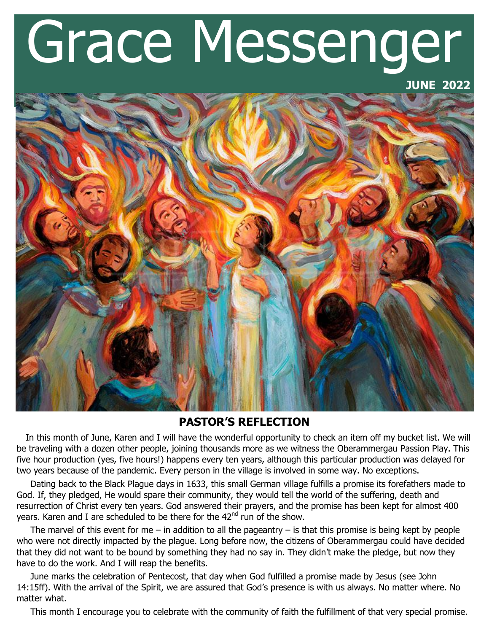# Grace Messenger

## **JUNE 2022**



# **PASTOR'S REFLECTION**

 In this month of June, Karen and I will have the wonderful opportunity to check an item off my bucket list. We will be traveling with a dozen other people, joining thousands more as we witness the Oberammergau Passion Play. This five hour production (yes, five hours!) happens every ten years, although this particular production was delayed for two years because of the pandemic. Every person in the village is involved in some way. No exceptions.

 Dating back to the Black Plague days in 1633, this small German village fulfills a promise its forefathers made to God. If, they pledged, He would spare their community, they would tell the world of the suffering, death and resurrection of Christ every ten years. God answered their prayers, and the promise has been kept for almost 400 years. Karen and I are scheduled to be there for the  $42<sup>nd</sup>$  run of the show.

The marvel of this event for me – in addition to all the pageantry – is that this promise is being kept by people who were not directly impacted by the plague. Long before now, the citizens of Oberammergau could have decided that they did not want to be bound by something they had no say in. They didn't make the pledge, but now they have to do the work. And I will reap the benefits.

 June marks the celebration of Pentecost, that day when God fulfilled a promise made by Jesus (see John 14:15ff). With the arrival of the Spirit, we are assured that God's presence is with us always. No matter where. No matter what.

This month I encourage you to celebrate with the community of faith the fulfillment of that very special promise.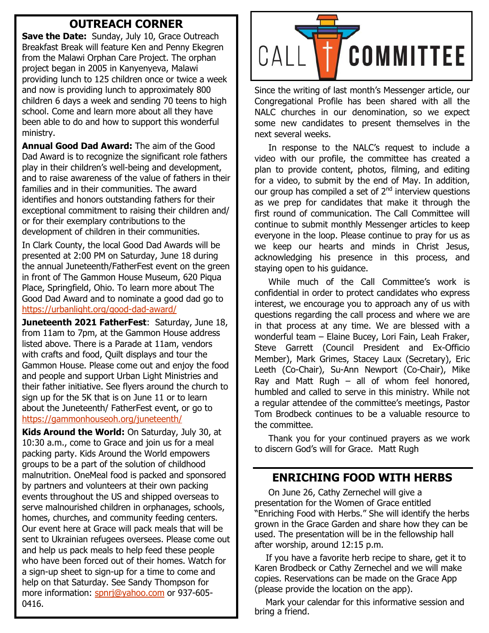# **OUTREACH CORNER**

**Save the Date:** Sunday, July 10, Grace Outreach Breakfast Break will feature Ken and Penny Ekegren from the Malawi Orphan Care Project. The orphan project began in 2005 in Kanyenyeva, Malawi providing lunch to 125 children once or twice a week and now is providing lunch to approximately 800 children 6 days a week and sending 70 teens to high school. Come and learn more about all they have been able to do and how to support this wonderful ministry.

**Annual Good Dad Award:** The aim of the Good Dad Award is to recognize the significant role fathers play in their children's well-being and development, and to raise awareness of the value of fathers in their families and in their communities. The award identifies and honors outstanding fathers for their exceptional commitment to raising their children and/ or for their exemplary contributions to the development of children in their communities.

In Clark County, the local Good Dad Awards will be presented at 2:00 PM on Saturday, June 18 during the annual Juneteenth/FatherFest event on the green in front of The Gammon House Museum, 620 Piqua Place, Springfield, Ohio. To learn more about The Good Dad Award and to nominate a good dad go to [https://urbanlight.org/good](https://urbanlight.org/good-dad-award/)-dad-award/

**Juneteenth 2021 FatherFest**: Saturday, June 18, from 11am to 7pm, at the Gammon House address listed above. There is a Parade at 11am, vendors with crafts and food, Quilt displays and tour the Gammon House. Please come out and enjoy the food and people and support Urban Light Ministries and their father initiative. See flyers around the church to sign up for the 5K that is on June 11 or to learn about the Juneteenth/ FatherFest event, or go to <https://gammonhouseoh.org/juneteenth/>

**Kids Around the World:** On Saturday, July 30, at 10:30 a.m., come to Grace and join us for a meal packing party. Kids Around the World empowers groups to be a part of the solution of childhood malnutrition. OneMeal food is packed and sponsored by partners and volunteers at their own packing events throughout the US and shipped overseas to serve malnourished children in orphanages, schools, homes, churches, and community feeding centers. Our event here at Grace will pack meals that will be sent to Ukrainian refugees oversees. Please come out and help us pack meals to help feed these people who have been forced out of their homes. Watch for a sign-up sheet to sign-up for a time to come and help on that Saturday. See Sandy Thompson for more information: [spnrj@yahoo.com](mailto:spnrj@yahoo.com) or 937-605-0416.



Since the writing of last month's Messenger article, our Congregational Profile has been shared with all the NALC churches in our denomination, so we expect some new candidates to present themselves in the next several weeks.

 In response to the NALC's request to include a video with our profile, the committee has created a plan to provide content, photos, filming, and editing for a video, to submit by the end of May. In addition, our group has compiled a set of  $2<sup>nd</sup>$  interview questions as we prep for candidates that make it through the first round of communication. The Call Committee will continue to submit monthly Messenger articles to keep everyone in the loop. Please continue to pray for us as we keep our hearts and minds in Christ Jesus, acknowledging his presence in this process, and staying open to his guidance.

 While much of the Call Committee's work is confidential in order to protect candidates who express interest, we encourage you to approach any of us with questions regarding the call process and where we are in that process at any time. We are blessed with a wonderful team – Elaine Bucey, Lori Fain, Leah Fraker, Steve Garrett (Council President and Ex-Officio Member), Mark Grimes, Stacey Laux (Secretary), Eric Leeth (Co-Chair), Su-Ann Newport (Co-Chair), Mike Ray and Matt Rugh  $-$  all of whom feel honored, humbled and called to serve in this ministry. While not a regular attendee of the committee's meetings, Pastor Tom Brodbeck continues to be a valuable resource to the committee.

 Thank you for your continued prayers as we work to discern God's will for Grace. Matt Rugh

# **ENRICHING FOOD WITH HERBS**

 On June 26, Cathy Zernechel will give a presentation for the Women of Grace entitled "Enriching Food with Herbs." She will identify the herbs grown in the Grace Garden and share how they can be used. The presentation will be in the fellowship hall after worship, around 12:15 p.m.

 If you have a favorite herb recipe to share, get it to Karen Brodbeck or Cathy Zernechel and we will make copies. Reservations can be made on the Grace App (please provide the location on the app).

 Mark your calendar for this informative session and bring a friend.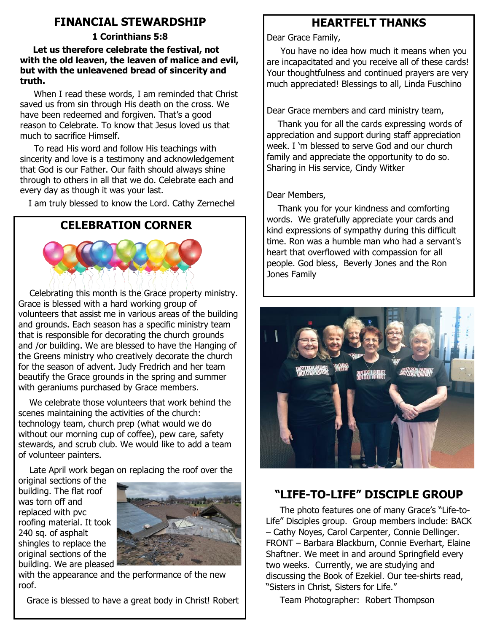# **FINANCIAL STEWARDSHIP**

# **1 Corinthians 5:8**

 **Let us therefore celebrate the festival, not with the old leaven, the leaven of malice and evil, but with the unleavened bread of sincerity and truth.**

 When I read these words, I am reminded that Christ saved us from sin through His death on the cross. We have been redeemed and forgiven. That's a good reason to Celebrate. To know that Jesus loved us that much to sacrifice Himself.

 To read His word and follow His teachings with sincerity and love is a testimony and acknowledgement that God is our Father. Our faith should always shine through to others in all that we do. Celebrate each and every day as though it was your last.

I am truly blessed to know the Lord. Cathy Zernechel

# **CELEBRATION CORNER**



 Celebrating this month is the Grace property ministry. Grace is blessed with a hard working group of volunteers that assist me in various areas of the building and grounds. Each season has a specific ministry team that is responsible for decorating the church grounds and /or building. We are blessed to have the Hanging of the Greens ministry who creatively decorate the church for the season of advent. Judy Fredrich and her team beautify the Grace grounds in the spring and summer with geraniums purchased by Grace members.

 We celebrate those volunteers that work behind the scenes maintaining the activities of the church: technology team, church prep (what would we do without our morning cup of coffee), pew care, safety stewards, and scrub club. We would like to add a team of volunteer painters.

Late April work began on replacing the roof over the

original sections of the building. The flat roof was torn off and replaced with pvc roofing material. It took 240 sq. of asphalt shingles to replace the original sections of the building. We are pleased



with the appearance and the performance of the new roof.

Grace is blessed to have a great body in Christ! Robert

# **HEARTFELT THANKS**

Dear Grace Family,

 You have no idea how much it means when you are incapacitated and you receive all of these cards! Your thoughtfulness and continued prayers are very much appreciated! Blessings to all, Linda Fuschino

Dear Grace members and card ministry team,

 Thank you for all the cards expressing words of appreciation and support during staff appreciation week. I 'm blessed to serve God and our church family and appreciate the opportunity to do so. Sharing in His service, Cindy Witker

# Dear Members,

 Thank you for your kindness and comforting words. We gratefully appreciate your cards and kind expressions of sympathy during this difficult time. Ron was a humble man who had a servant's heart that overflowed with compassion for all people. God bless, Beverly Jones and the Ron Jones Family



# **"LIFE-TO-LIFE" DISCIPLE GROUP**

 The photo features one of many Grace's "Life-to-Life" Disciples group. Group members include: BACK – Cathy Noyes, Carol Carpenter, Connie Dellinger. FRONT – Barbara Blackburn, Connie Everhart, Elaine Shaftner. We meet in and around Springfield every two weeks. Currently, we are studying and discussing the Book of Ezekiel. Our tee-shirts read, "Sisters in Christ, Sisters for Life."

Team Photographer: Robert Thompson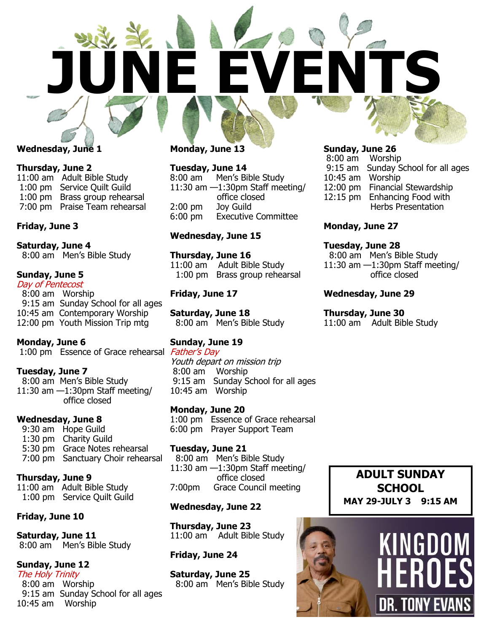

## **Wednesday, June 1**

**Thursday, June 2** 11:00 am Adult Bible Study 1:00 pm Service Quilt Guild 1:00 pm Brass group rehearsal 7:00 pm Praise Team rehearsal

#### **Friday, June 3**

**Saturday, June 4** 8:00 am Men's Bible Study

## **Sunday, June 5**

Day of Pentecost 8:00 am Worship 9:15 am Sunday School for all ages 10:45 am Contemporary Worship 12:00 pm Youth Mission Trip mtg

#### **Monday, June 6**

1:00 pm Essence of Grace rehearsal Father's Day

#### **Tuesday, June 7**

 8:00 am Men's Bible Study 11:30 am —1:30pm Staff meeting/ office closed

#### **Wednesday, June 8**

 9:30 am Hope Guild 1:30 pm Charity Guild 5:30 pm Grace Notes rehearsal 7:00 pm Sanctuary Choir rehearsal

#### **Thursday, June 9**

11:00 am Adult Bible Study 1:00 pm Service Quilt Guild

## **Friday, June 10**

**Saturday, June 11** 8:00 am Men's Bible Study

## **Sunday, June 12**

The Holy Trinity 8:00 am Worship 9:15 am Sunday School for all ages 10:45 am Worship

## **Monday, June 13**

**Tuesday, June 14**

8:00 am Men's Bible Study 11:30 am  $-1:30$ pm Staff meeting/ office closed 2:00 pm Joy Guild 6:00 pm Executive Committee

## **Wednesday, June 15**

**Thursday, June 16** 11:00 am Adult Bible Study 1:00 pm Brass group rehearsal

### **Friday, June 17**

**Saturday, June 18** 8:00 am Men's Bible Study

## **Sunday, June 19**

Youth depart on mission trip 8:00 am Worship 9:15 am Sunday School for all ages 10:45 am Worship

**Monday, June 20** 1:00 pm Essence of Grace rehearsal 6:00 pm Prayer Support Team

**Tuesday, June 21** 8:00 am Men's Bible Study 11:30 am —1:30pm Staff meeting/ office closed 7:00pm Grace Council meeting

#### **Wednesday, June 22**

**Thursday, June 23** 11:00 am Adult Bible Study

#### **Friday, June 24**

**Saturday, June 25** 8:00 am Men's Bible Study

#### **Sunday, June 26**

8:00 am Worship 9:15 am Sunday School for all ages 10:45 am Worship 12:00 pm Financial Stewardship 12:15 pm Enhancing Food with Herbs Presentation

#### **Monday, June 27**

## **Tuesday, June 28**

 8:00 am Men's Bible Study 11:30 am —1:30pm Staff meeting/ office closed

#### **Wednesday, June 29**

#### **Thursday, June 30**

11:00 am Adult Bible Study